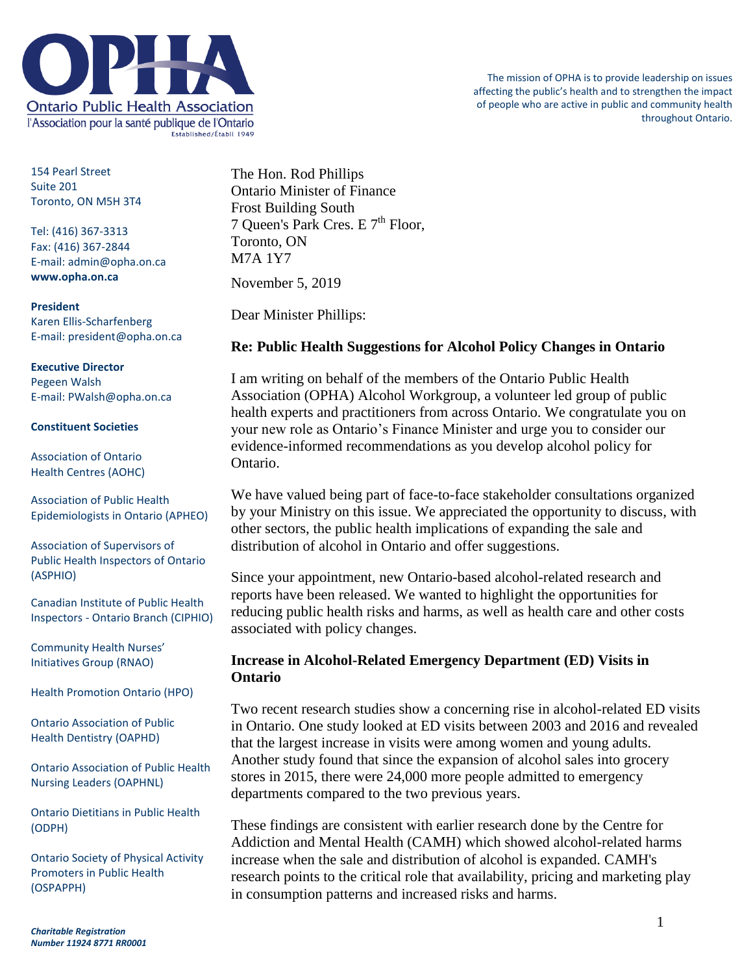

154 Pearl Street Suite 201 Toronto, ON M5H 3T4

Tel: (416) 367-3313 Fax: (416) 367-2844 E-mail: admin@opha.on.ca **www.opha.on.ca**

#### **President**

Karen Ellis-Scharfenberg E-mail: president@opha.on.ca

## **Executive Director**

Pegeen Walsh E-mail: PWalsh@opha.on.ca

#### **Constituent Societies**

Association of Ontario Health Centres (AOHC)

Association of Public Health Epidemiologists in Ontario (APHEO)

Association of Supervisors of Public Health Inspectors of Ontario (ASPHIO)

Canadian Institute of Public Health Inspectors - Ontario Branch (CIPHIO)

Community Health Nurses' Initiatives Group (RNAO)

Health Promotion Ontario (HPO)

Ontario Association of Public Health Dentistry (OAPHD)

Ontario Association of Public Health Nursing Leaders (OAPHNL)

Ontario Dietitians in Public Health (ODPH)

Ontario Society of Physical Activity Promoters in Public Health (OSPAPPH)

The Hon. Rod Phillips Ontario Minister of Finance Frost Building South 7 Queen's Park Cres. E 7<sup>th</sup> Floor, Toronto, ON M7A 1Y7 November 5, 2019

Dear Minister Phillips:

## **Re: Public Health Suggestions for Alcohol Policy Changes in Ontario**

I am writing on behalf of the members of the Ontario Public Health Association (OPHA) Alcohol Workgroup, a volunteer led group of public health experts and practitioners from across Ontario. We congratulate you on your new role as Ontario's Finance Minister and urge you to consider our evidence-informed recommendations as you develop alcohol policy for Ontario.

We have valued being part of face-to-face stakeholder consultations organized by your Ministry on this issue. We appreciated the opportunity to discuss, with other sectors, the public health implications of expanding the sale and distribution of alcohol in Ontario and offer suggestions.

Since your appointment, new Ontario-based alcohol-related research and reports have been released. We wanted to highlight the opportunities for reducing public health risks and harms, as well as health care and other costs associated with policy changes.

## **Increase in Alcohol-Related Emergency Department (ED) Visits in Ontario**

Two recent research studies show a concerning rise in alcohol-related ED visits in Ontario. One study looked at ED visits between 2003 and 2016 and revealed that the largest increase in visits were among women and young adults. Another study found that since the expansion of alcohol sales into grocery stores in 2015, there were 24,000 more people admitted to emergency departments compared to the two previous years.

These findings are consistent with earlier research done by the Centre for Addiction and Mental Health (CAMH) which showed alcohol-related harms increase when the sale and distribution of alcohol is expanded. CAMH's research points to the critical role that availability, pricing and marketing play in consumption patterns and increased risks and harms.